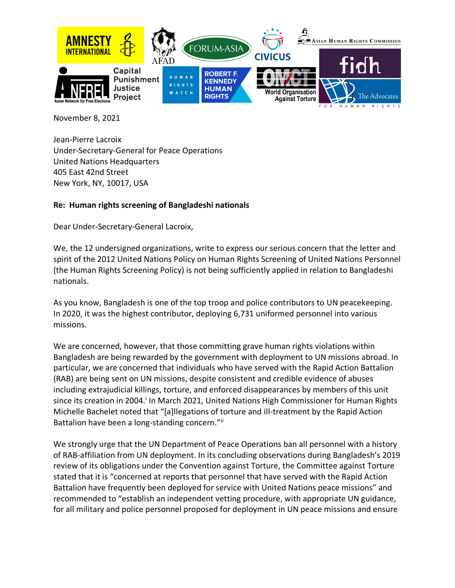

November 8, 2021

Jean-Pierre Lacroix Under-Secretary-General for Peace Operations United Nations Headquarters 405 East 42nd Street New York, NY, 10017, USA

## **Re: Human rights screening of Bangladeshi nationals**

Dear Under-Secretary-General Lacroix,

We, the 12 undersigned organizations, write to express our serious concern that the letter and spirit of the 2012 United Nations Policy on Human Rights Screening of United Nations Personnel (the Human Rights Screening Policy) is not being sufficiently applied in relation to Bangladeshi nationals.

As you know, Bangladesh is one of the top troop and police contributors to UN peacekeeping. In 2020, it was the highest contributor, deploying 6,731 uniformed personnel into various missions.

We are concerned, however, that those committing grave human rights violations within Bangladesh are being rewarded by the government with deployment to UN missions abroad. In particular, we are concerned that individuals who have served with the Rapid Action Battalion (RAB) are being sent on UN missions, despite consistent and credible evidence of abuses including extrajudicial killings, torture, and enforced disappearances by members of this unit since its creation in 2004.<sup>i</sup> In March 2021, United Nations High Commissioner for Human Rights Michelle Bachelet noted that "[a]llegations of torture and ill-treatment by the Rapid Action Battalion have been a long-standing concern."ii

We strongly urge that the UN Department of Peace Operations ban all personnel with a history of RAB-affiliation from UN deployment. In its concluding observations during Bangladesh's 2019 review of its obligations under the Convention against Torture, the Committee against Torture stated that it is "concerned at reports that personnel that have served with the Rapid Action Battalion have frequently been deployed for service with United Nations peace missions" and recommended to "establish an independent vetting procedure, with appropriate UN guidance, for all military and police personnel proposed for deployment in UN peace missions and ensure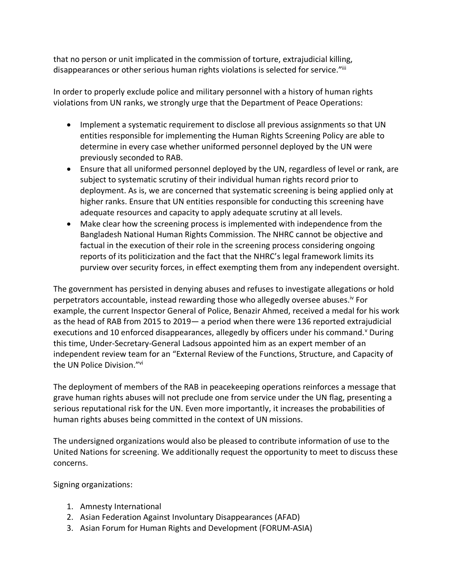that no person or unit implicated in the commission of torture, extrajudicial killing, disappearances or other serious human rights violations is selected for service."iii

In order to properly exclude police and military personnel with a history of human rights violations from UN ranks, we strongly urge that the Department of Peace Operations:

- Implement a systematic requirement to disclose all previous assignments so that UN entities responsible for implementing the Human Rights Screening Policy are able to determine in every case whether uniformed personnel deployed by the UN were previously seconded to RAB.
- Ensure that all uniformed personnel deployed by the UN, regardless of level or rank, are subject to systematic scrutiny of their individual human rights record prior to deployment. As is, we are concerned that systematic screening is being applied only at higher ranks. Ensure that UN entities responsible for conducting this screening have adequate resources and capacity to apply adequate scrutiny at all levels.
- Make clear how the screening process is implemented with independence from the Bangladesh National Human Rights Commission. The NHRC cannot be objective and factual in the execution of their role in the screening process considering ongoing reports of its politicization and the fact that the NHRC's legal framework limits its purview over security forces, in effect exempting them from any independent oversight.

The government has persisted in denying abuses and refuses to investigate allegations or hold perpetrators accountable, instead rewarding those who allegedly oversee abuses.<sup>iv</sup> For example, the current Inspector General of Police, Benazir Ahmed, received a medal for his work as the head of RAB from 2015 to 2019— a period when there were 136 reported extrajudicial executions and 10 enforced disappearances, allegedly by officers under his command.<sup>v</sup> During this time, Under-Secretary-General Ladsous appointed him as an expert member of an independent review team for an "External Review of the Functions, Structure, and Capacity of the UN Police Division."vi

The deployment of members of the RAB in peacekeeping operations reinforces a message that grave human rights abuses will not preclude one from service under the UN flag, presenting a serious reputational risk for the UN. Even more importantly, it increases the probabilities of human rights abuses being committed in the context of UN missions.

The undersigned organizations would also be pleased to contribute information of use to the United Nations for screening. We additionally request the opportunity to meet to discuss these concerns.

Signing organizations:

- 1. Amnesty International
- 2. Asian Federation Against Involuntary Disappearances (AFAD)
- 3. Asian Forum for Human Rights and Development (FORUM-ASIA)